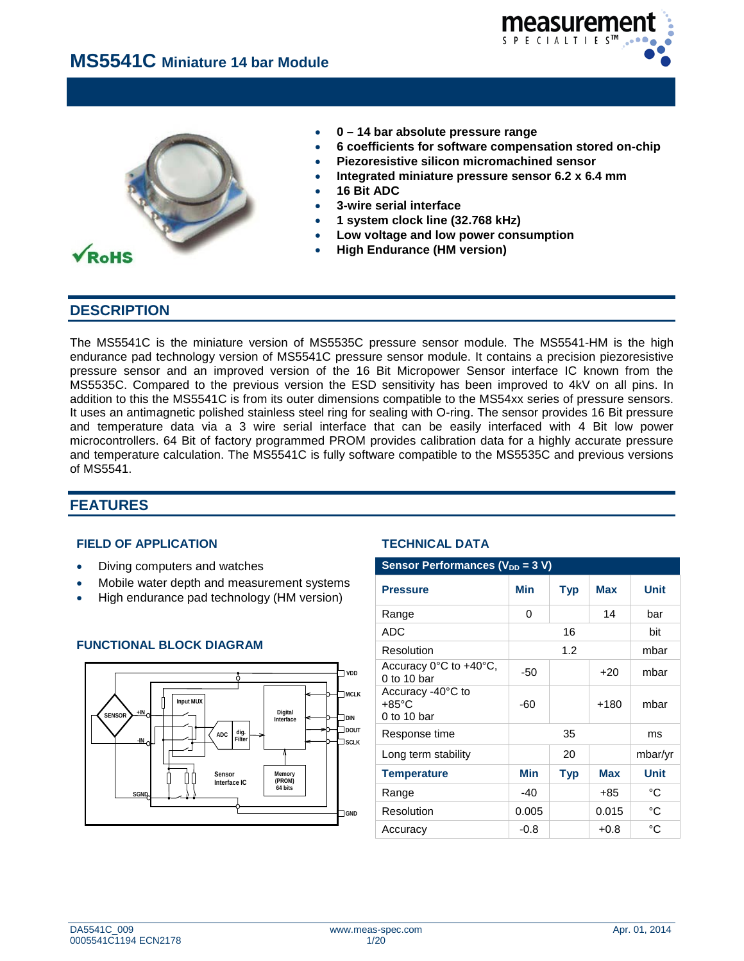



- **0 – 14 bar absolute pressure range**
- **6 coefficients for software compensation stored on-chip**
- **Piezoresistive silicon micromachined sensor**
- **Integrated miniature pressure sensor 6.2 x 6.4 mm**
- **16 Bit ADC**
- **3-wire serial interface**
- **1 system clock line (32.768 kHz)**
- **Low voltage and low power consumption**
- **High Endurance (HM version)**

# **DESCRIPTION**

The MS5541C is the miniature version of MS5535C pressure sensor module. The MS5541-HM is the high endurance pad technology version of MS5541C pressure sensor module. It contains a precision piezoresistive pressure sensor and an improved version of the 16 Bit Micropower Sensor interface IC known from the MS5535C. Compared to the previous version the ESD sensitivity has been improved to 4kV on all pins. In addition to this the MS5541C is from its outer dimensions compatible to the MS54xx series of pressure sensors. It uses an antimagnetic polished stainless steel ring for sealing with O-ring. The sensor provides 16 Bit pressure and temperature data via a 3 wire serial interface that can be easily interfaced with 4 Bit low power microcontrollers. 64 Bit of factory programmed PROM provides calibration data for a highly accurate pressure and temperature calculation. The MS5541C is fully software compatible to the MS5535C and previous versions of MS5541.

# **FEATURES**

# **FIELD OF APPLICATION TECHNICAL DATA**

- **Diving computers and watches**
- Mobile water depth and measurement systems
- **High endurance pad technology (HM version)**



# **FUNCTIONAL BLOCK DIAGRAM**

| <b>Sensor Performances (V<sub>DD</sub> = 3 V)</b>           |                                 |            |            |             |  |  |
|-------------------------------------------------------------|---------------------------------|------------|------------|-------------|--|--|
| <b>Pressure</b>                                             | Min<br><b>Max</b><br><b>Typ</b> |            |            |             |  |  |
| Range                                                       | 0                               |            | 14         | bar         |  |  |
| <b>ADC</b>                                                  |                                 | 16         |            | bit         |  |  |
| Resolution                                                  |                                 | 1.2        |            | mbar        |  |  |
| Accuracy $0^{\circ}$ C to $+40^{\circ}$ C,<br>$0$ to 10 bar | -50                             | mbar       |            |             |  |  |
| Accuracy -40°C to<br>$+85^{\circ}$ C<br>0 to 10 bar         | -60                             |            | $+180$     | mbar        |  |  |
| Response time                                               |                                 | 35         |            | ms          |  |  |
| Long term stability                                         |                                 | 20         |            | mbar/yr     |  |  |
| <b>Temperature</b>                                          | <b>Min</b>                      | <b>Typ</b> | <b>Max</b> | <b>Unit</b> |  |  |
| Range                                                       | $-40$                           |            | +85        | °C          |  |  |
| Resolution                                                  | 0.005                           |            | 0.015      | °C          |  |  |
| Accuracy                                                    | $-0.8$                          |            | $+0.8$     | °C          |  |  |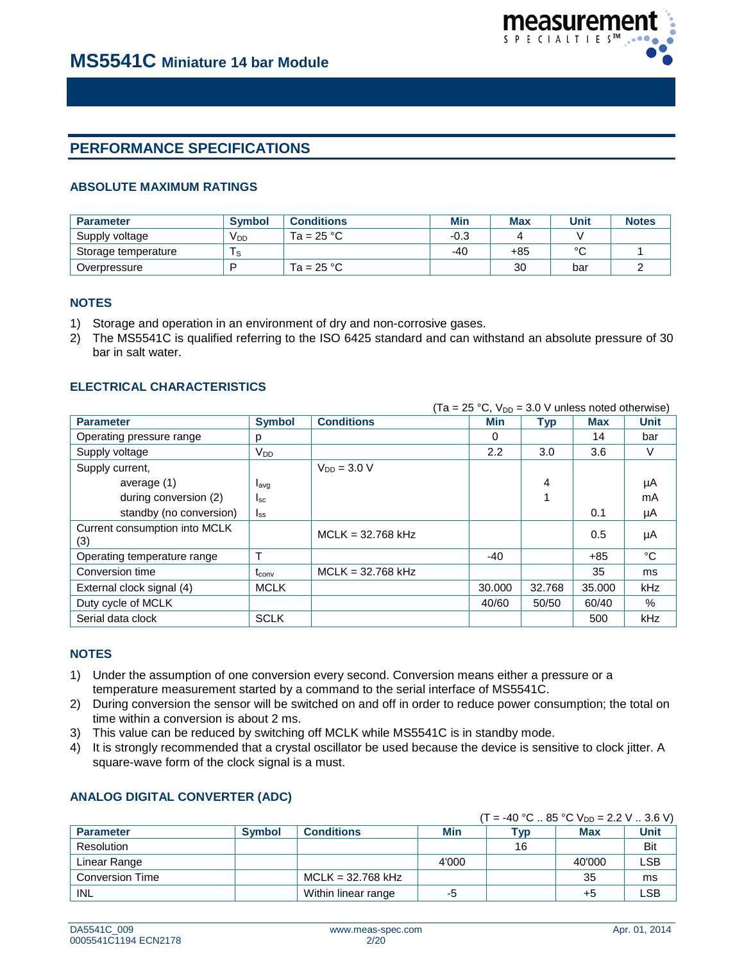

# **PERFORMANCE SPECIFICATIONS**

# **ABSOLUTE MAXIMUM RATINGS**

| <b>Parameter</b>    | <b>Symbol</b>   | <b>Conditions</b> | Min  | <b>Max</b> | <b>Unit</b> | <b>Notes</b> |
|---------------------|-----------------|-------------------|------|------------|-------------|--------------|
| Supply voltage      | V <sub>DD</sub> | Ta = $25 °C$      | -0.3 |            |             |              |
| Storage temperature | $\sim$          |                   | -40  | +85        | $\sim$      |              |
| Overpressure        | D               | Ta = $25 °C$      |      | 30         | bar         |              |

## **NOTES**

- 1) Storage and operation in an environment of dry and non-corrosive gases.
- 2) The MS5541C is qualified referring to the ISO 6425 standard and can withstand an absolute pressure of 30 bar in salt water.

# **ELECTRICAL CHARACTERISTICS**

|                                      |                  |                     | $(Ta = 25 °C, V_{DD} = 3.0 V$ unless noted otherwise) |            |            |             |
|--------------------------------------|------------------|---------------------|-------------------------------------------------------|------------|------------|-------------|
| <b>Parameter</b>                     | <b>Symbol</b>    | <b>Conditions</b>   | Min                                                   | <b>Typ</b> | <b>Max</b> | <b>Unit</b> |
| Operating pressure range             | р                |                     | 0                                                     |            | 14         | bar         |
| Supply voltage                       | $V_{DD}$         |                     | 2.2                                                   | 3.0        | 3.6        | V           |
| Supply current,                      |                  | $V_{DD} = 3.0 V$    |                                                       |            |            |             |
| average (1)                          | $I_{\text{avq}}$ |                     |                                                       | 4          |            | μA          |
| during conversion (2)                | $I_{SC}$         |                     |                                                       |            |            | mA          |
| standby (no conversion)              | $I_{SS}$         |                     |                                                       |            | 0.1        | μA          |
| Current consumption into MCLK<br>(3) |                  | $MCLK = 32.768 kHz$ |                                                       |            | 0.5        | μA          |
| Operating temperature range          |                  |                     | $-40$                                                 |            | $+85$      | °C          |
| Conversion time                      | $t_{conv}$       | $MCLK = 32.768 kHz$ |                                                       |            | 35         | ms          |
| External clock signal (4)            | <b>MCLK</b>      |                     | 30,000                                                | 32.768     | 35.000     | kHz         |
| Duty cycle of MCLK                   |                  |                     | 40/60                                                 | 50/50      | 60/40      | $\%$        |
| Serial data clock                    | <b>SCLK</b>      |                     |                                                       |            | 500        | <b>kHz</b>  |

# **NOTES**

- 1) Under the assumption of one conversion every second. Conversion means either a pressure or a temperature measurement started by a command to the serial interface of MS5541C.
- 2) During conversion the sensor will be switched on and off in order to reduce power consumption; the total on time within a conversion is about 2 ms.
- 3) This value can be reduced by switching off MCLK while MS5541C is in standby mode.
- 4) It is strongly recommended that a crystal oscillator be used because the device is sensitive to clock jitter. A square-wave form of the clock signal is a must.

# **ANALOG DIGITAL CONVERTER (ADC)**

# $(T = -40 °C .. 85 °C V<sub>DD</sub> = 2.2 V .. 3.6 V)$

|                        |               |                     |       | . <del>.</del> |        | ___ _ _ _ _ _ _ _ |
|------------------------|---------------|---------------------|-------|----------------|--------|-------------------|
| <b>Parameter</b>       | <b>Symbol</b> | <b>Conditions</b>   | Min   | Typ            | Max    | <b>Unit</b>       |
| Resolution             |               |                     |       | 16             |        | Bit               |
| Linear Range           |               |                     | 4'000 |                | 40'000 | ∟SB               |
| <b>Conversion Time</b> |               | $MCLK = 32.768 kHz$ |       |                | 35     | ms                |
| INL                    |               | Within linear range | -5    |                | +5     | ∟SB               |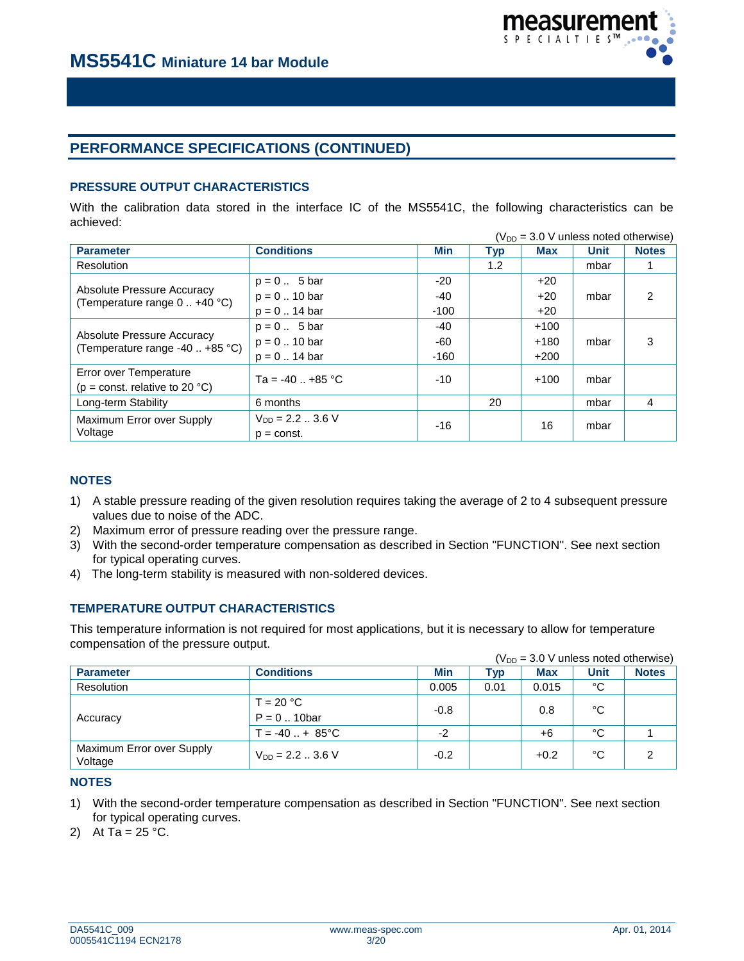

# **PERFORMANCE SPECIFICATIONS (CONTINUED)**

# **PRESSURE OUTPUT CHARACTERISTICS**

With the calibration data stored in the interface IC of the MS5541C, the following characteristics can be achieved:  $(100 \text{ N})$  unless noted otherwise)

|                                                               |                      |        |     | (V <sub>DD</sub> = 3.0 V unless noted otherwise) |      |              |
|---------------------------------------------------------------|----------------------|--------|-----|--------------------------------------------------|------|--------------|
| <b>Parameter</b>                                              | <b>Conditions</b>    | Min    | Typ | Max                                              | Unit | <b>Notes</b> |
| Resolution                                                    |                      |        | 1.2 |                                                  | mbar |              |
|                                                               | $p = 0$ 5 bar        | -20    |     | $+20$                                            |      |              |
| Absolute Pressure Accuracy<br>(Temperature range 0  +40 °C)   | $p = 0$ 10 bar       | -40    |     | $+20$                                            | mbar | 2            |
|                                                               | $p = 0$ 14 bar       | $-100$ |     | $+20$                                            |      |              |
|                                                               | $p = 0$ 5 bar        | -40    |     | $+100$                                           |      |              |
| Absolute Pressure Accuracy<br>(Temperature range -40  +85 °C) | $p = 0$ 10 bar       | -60    |     | $+180$                                           | mbar | 3            |
|                                                               | $p = 0$ 14 bar       | $-160$ |     | $+200$                                           |      |              |
| Error over Temperature                                        | $Ta = -40 - 85 °C$   | -10    |     | $+100$                                           | mbar |              |
| ( $p = const.$ relative to 20 °C)                             |                      |        |     |                                                  |      |              |
| Long-term Stability                                           | 6 months             |        | 20  |                                                  | mbar | 4            |
| Maximum Error over Supply                                     | $V_{DD} = 2.2$ 3.6 V | -16    |     | 16                                               | mbar |              |
| Voltage                                                       | $p = const.$         |        |     |                                                  |      |              |

# **NOTES**

- 1) A stable pressure reading of the given resolution requires taking the average of 2 to 4 subsequent pressure values due to noise of the ADC.
- 2) Maximum error of pressure reading over the pressure range.
- 3) With the second-order temperature compensation as described in Section "FUNCTION". See next section for typical operating curves.
- 4) The long-term stability is measured with non-soldered devices.

# **TEMPERATURE OUTPUT CHARACTERISTICS**

This temperature information is not required for most applications, but it is necessary to allow for temperature compensation of the pressure output.

|                                      |                              |        |      | $(V_{DD} = 3.0 V$ unless noted otherwise) |      |              |
|--------------------------------------|------------------------------|--------|------|-------------------------------------------|------|--------------|
| <b>Parameter</b>                     | <b>Conditions</b>            | Min    | Typ  | <b>Max</b>                                | Unit | <b>Notes</b> |
| Resolution                           |                              | 0.005  | 0.01 | 0.015                                     | °C   |              |
| Accuracy                             | $T = 20 °C$<br>$P = 0$ 10bar | $-0.8$ |      | 0.8                                       | °C   |              |
|                                      | $T = -40$ $+ 85^{\circ}$ C   | $-2$   |      | +6                                        | °C   |              |
| Maximum Error over Supply<br>Voltage | $V_{DD} = 2.2$ 3.6 V         | $-0.2$ |      | $+0.2$                                    | °C   | 2            |

#### **NOTES**

- 1) With the second-order temperature compensation as described in Section "FUNCTION". See next section for typical operating curves.
- 2) At Ta =  $25 °C$ .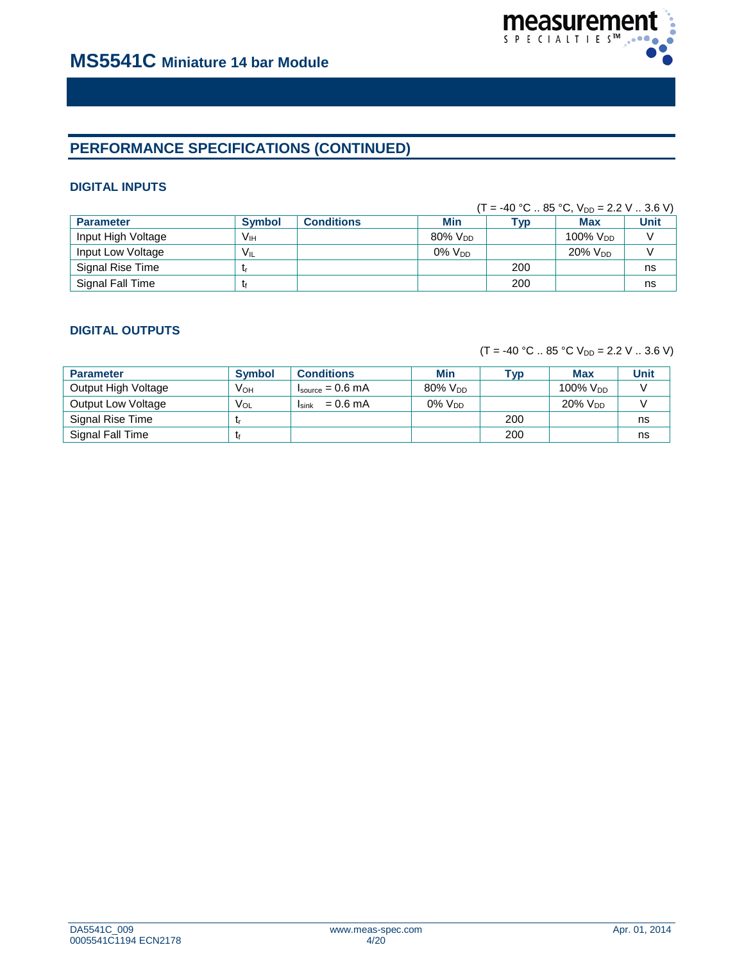

# **PERFORMANCE SPECIFICATIONS (CONTINUED)**

# **DIGITAL INPUTS**

|                    |                 |                   |                        |     | $(T = -40 °C  85 °C, V_{DD} = 2.2 V  3.6 V)$ |      |
|--------------------|-----------------|-------------------|------------------------|-----|----------------------------------------------|------|
| <b>Parameter</b>   | <b>Symbol</b>   | <b>Conditions</b> | <b>Min</b>             | Tvp | Max                                          | Unit |
| Input High Voltage | V <sub>IH</sub> |                   | $80\%$ V <sub>nn</sub> |     | 100% V <sub>DD</sub>                         |      |
| Input Low Voltage  | $V_{IL}$        |                   | $0\%$ $V_{DD}$         |     | $20\%$ $V_{DD}$                              |      |
| Signal Rise Time   | - Ir            |                   |                        | 200 |                                              | ns   |
| Signal Fall Time   | T۴              |                   |                        | 200 |                                              | ns   |

# **DIGITAL OUTPUTS**

 $(T = -40 °C .. 85 °C V_{DD} = 2.2 V .. 3.6 V)$ 

| <b>Parameter</b>          | <b>Symbol</b>   | <b>Conditions</b>                    | <b>Min</b>             | <b>VD</b> | <b>Max</b>          | <b>Unit</b> |
|---------------------------|-----------------|--------------------------------------|------------------------|-----------|---------------------|-------------|
| Output High Voltage       | Vон             | $I_{\text{source}} = 0.6 \text{ mA}$ | $80\%$ V <sub>DD</sub> |           | 100% $V_{DD}$       |             |
| <b>Output Low Voltage</b> | V <sub>OL</sub> | $= 0.6$ mA<br>Isink                  | $0\%$ $V_{DD}$         |           | 20% V <sub>DD</sub> |             |
| Signal Rise Time          |                 |                                      |                        | 200       |                     | ns          |
| Signal Fall Time          |                 |                                      |                        | 200       |                     | ns          |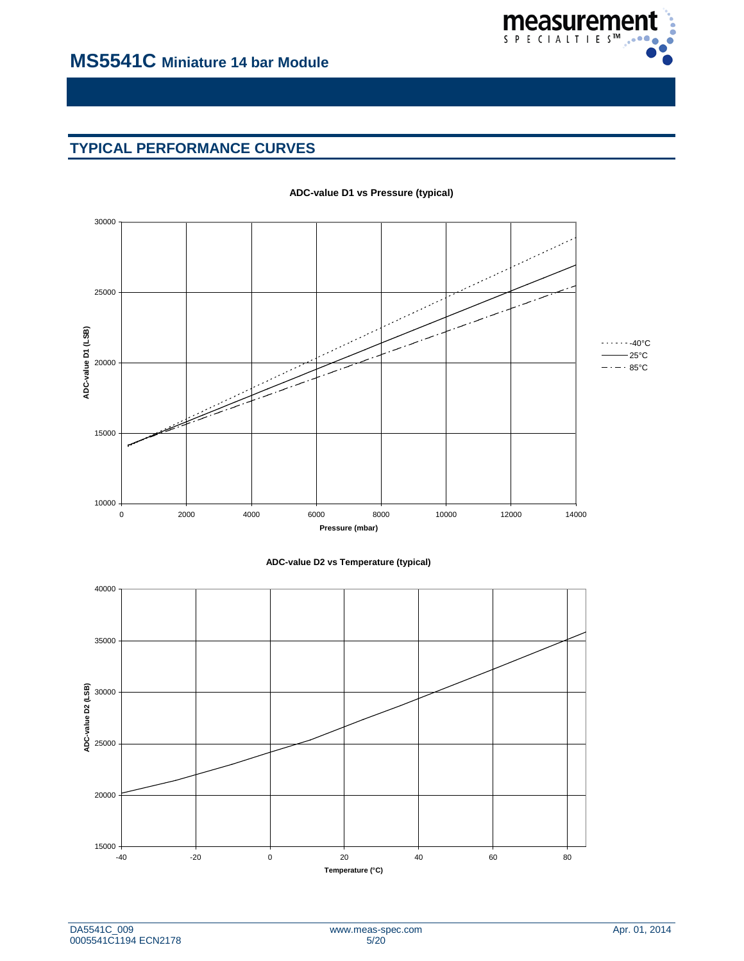

# **TYPICAL PERFORMANCE CURVES**



#### **ADC-value D1 vs Pressure (typical)**



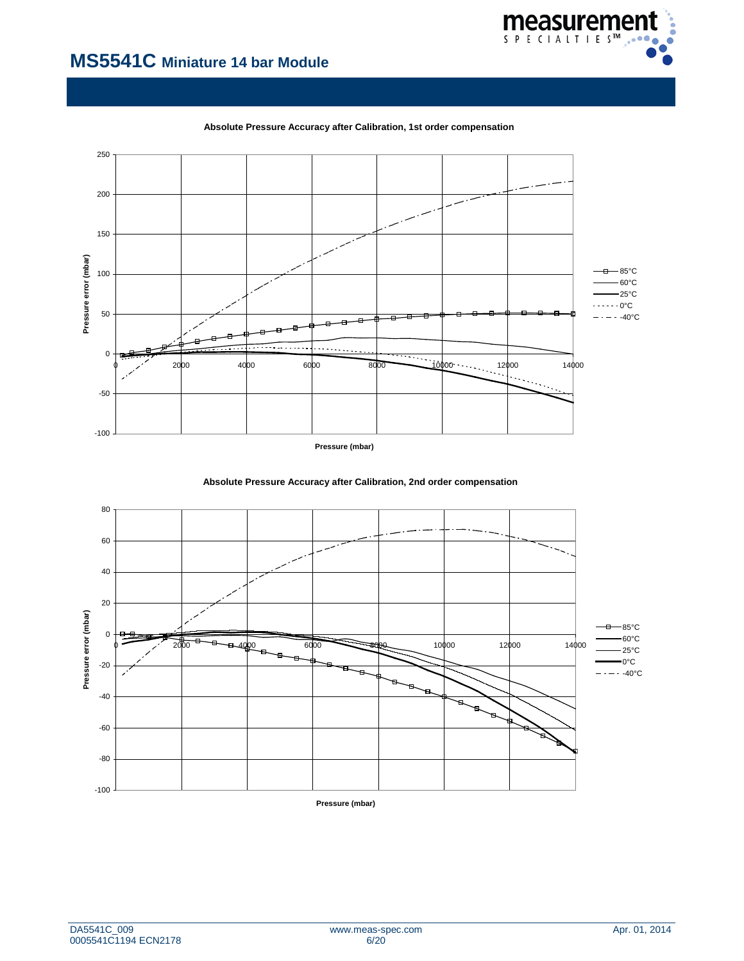



**Absolute Pressure Accuracy after Calibration, 1st order compensation**



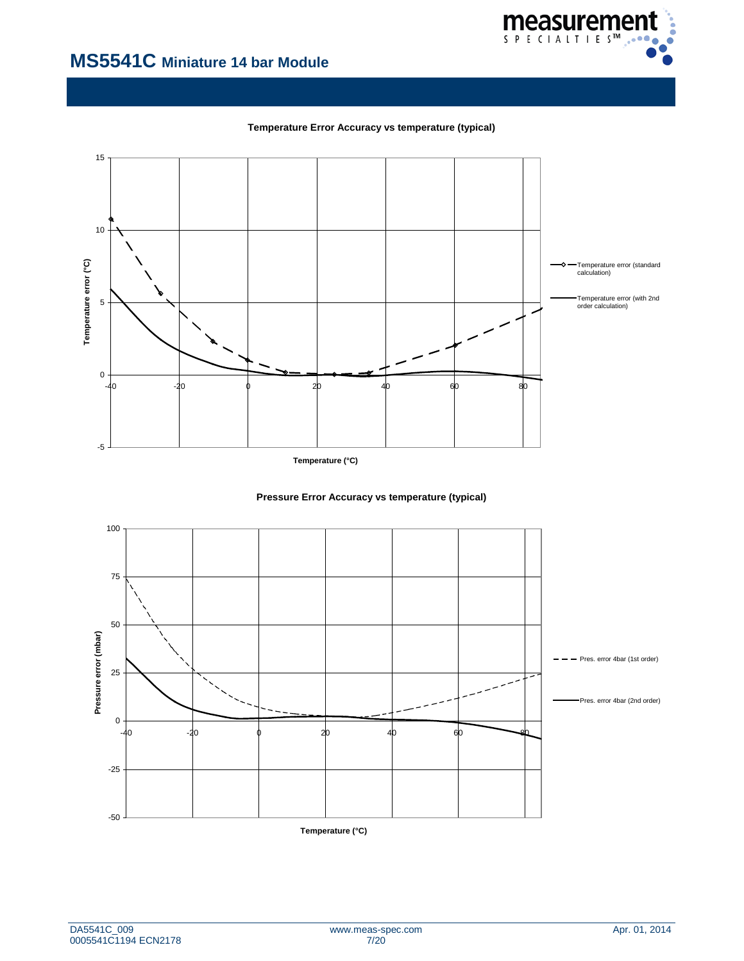

**Temperature Error Accuracy vs temperature (typical)**



**Temperature (°C)**



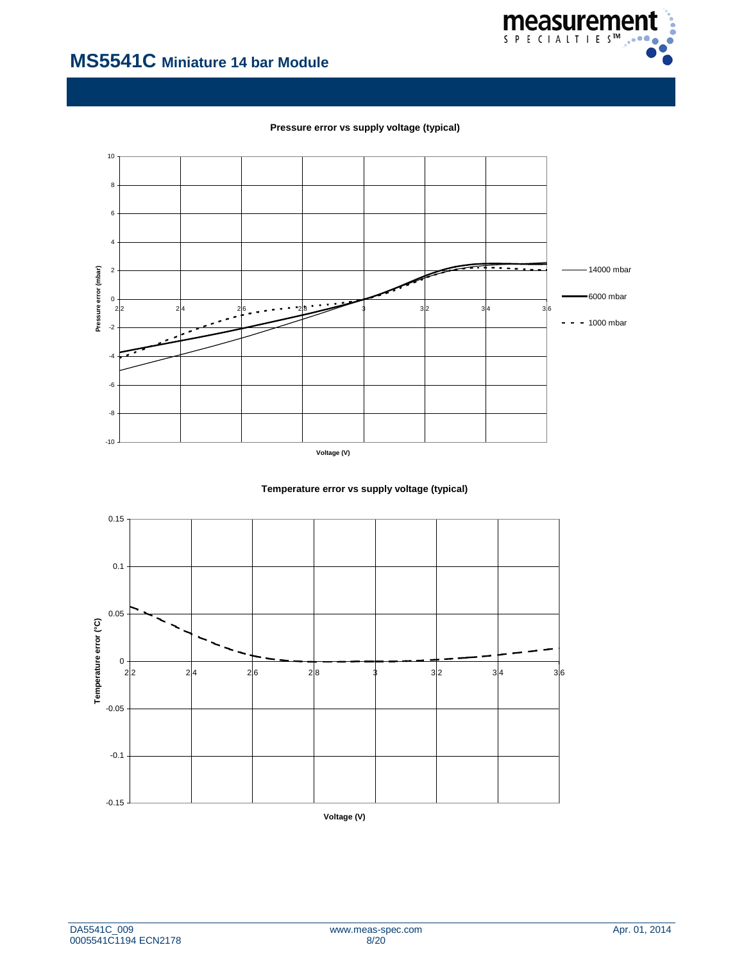

**Pressure error vs supply voltage (typical)**



**Temperature error vs supply voltage (typical)**

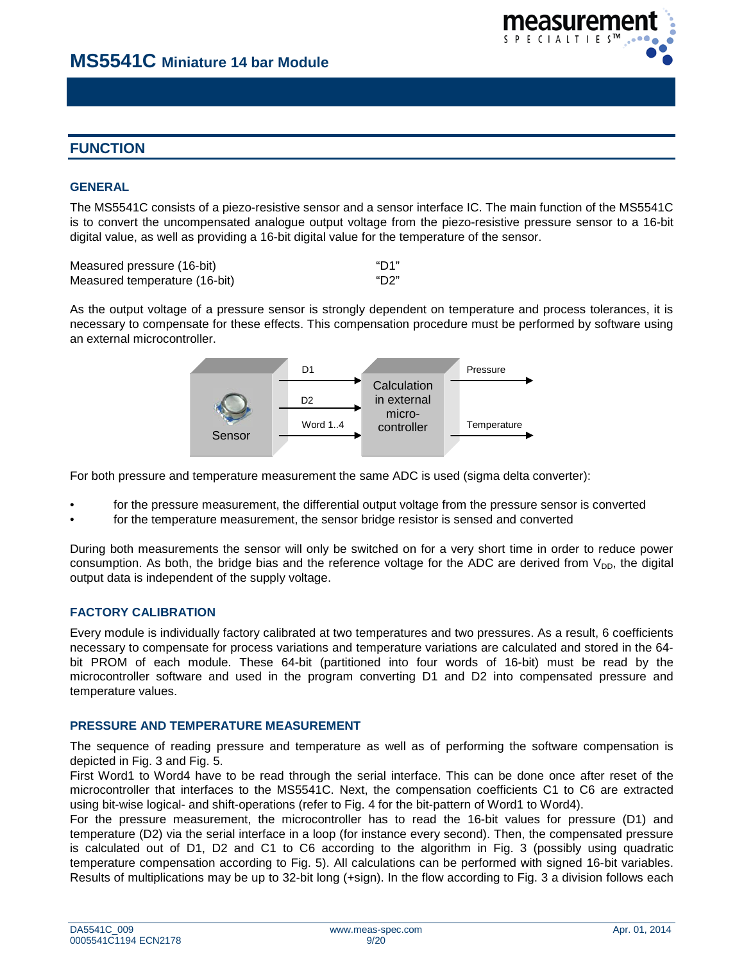

# **FUNCTION**

# **GENERAL**

The MS5541C consists of a piezo-resistive sensor and a sensor interface IC. The main function of the MS5541C is to convert the uncompensated analogue output voltage from the piezo-resistive pressure sensor to a 16-bit digital value, as well as providing a 16-bit digital value for the temperature of the sensor.

| Measured pressure (16-bit)    | "D1" |
|-------------------------------|------|
| Measured temperature (16-bit) | "D2" |

As the output voltage of a pressure sensor is strongly dependent on temperature and process tolerances, it is necessary to compensate for these effects. This compensation procedure must be performed by software using an external microcontroller.



For both pressure and temperature measurement the same ADC is used (sigma delta converter):

- for the pressure measurement, the differential output voltage from the pressure sensor is converted
- for the temperature measurement, the sensor bridge resistor is sensed and converted

During both measurements the sensor will only be switched on for a very short time in order to reduce power consumption. As both, the bridge bias and the reference voltage for the ADC are derived from  $V_{DD}$ , the digital output data is independent of the supply voltage.

## **FACTORY CALIBRATION**

Every module is individually factory calibrated at two temperatures and two pressures. As a result, 6 coefficients necessary to compensate for process variations and temperature variations are calculated and stored in the 64 bit PROM of each module. These 64-bit (partitioned into four words of 16-bit) must be read by the microcontroller software and used in the program converting D1 and D2 into compensated pressure and temperature values.

## **PRESSURE AND TEMPERATURE MEASUREMENT**

The sequence of reading pressure and temperature as well as of performing the software compensation is depicted in Fig. 3 and Fig. 5.

First Word1 to Word4 have to be read through the serial interface. This can be done once after reset of the microcontroller that interfaces to the MS5541C. Next, the compensation coefficients C1 to C6 are extracted using bit-wise logical- and shift-operations (refer to Fig. 4 for the bit-pattern of Word1 to Word4).

For the pressure measurement, the microcontroller has to read the 16-bit values for pressure (D1) and temperature (D2) via the serial interface in a loop (for instance every second). Then, the compensated pressure is calculated out of D1, D2 and C1 to C6 according to the algorithm in Fig. 3 (possibly using quadratic temperature compensation according to Fig. 5). All calculations can be performed with signed 16-bit variables. Results of multiplications may be up to 32-bit long (+sign). In the flow according to Fig. 3 a division follows each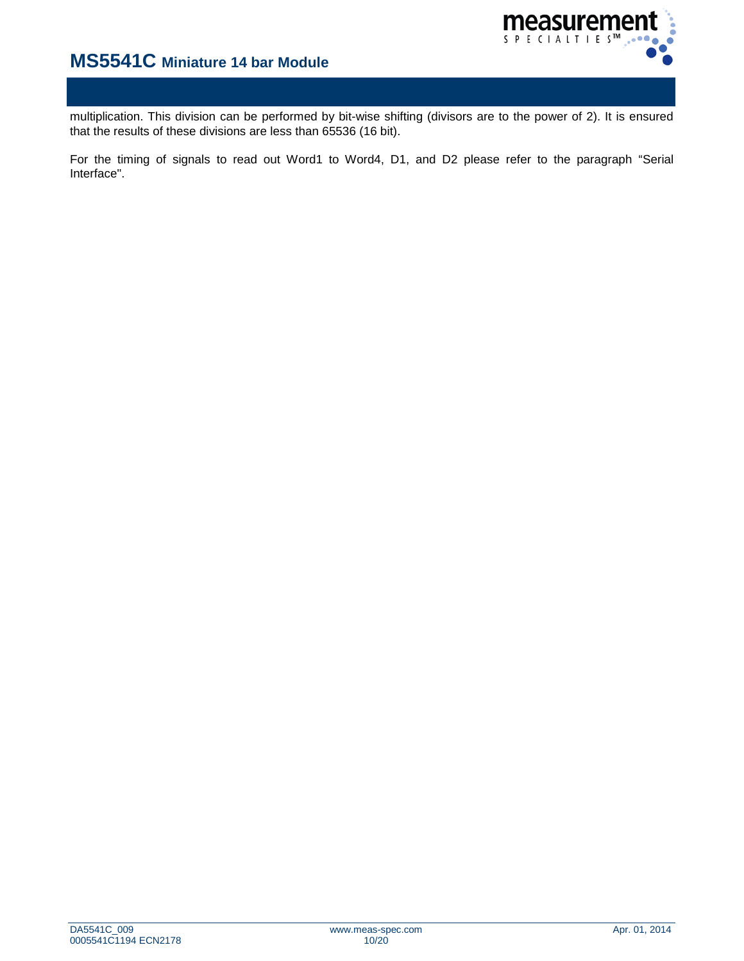

multiplication. This division can be performed by bit-wise shifting (divisors are to the power of 2). It is ensured that the results of these divisions are less than 65536 (16 bit).

For the timing of signals to read out Word1 to Word4, D1, and D2 please refer to the paragraph "Serial Interface".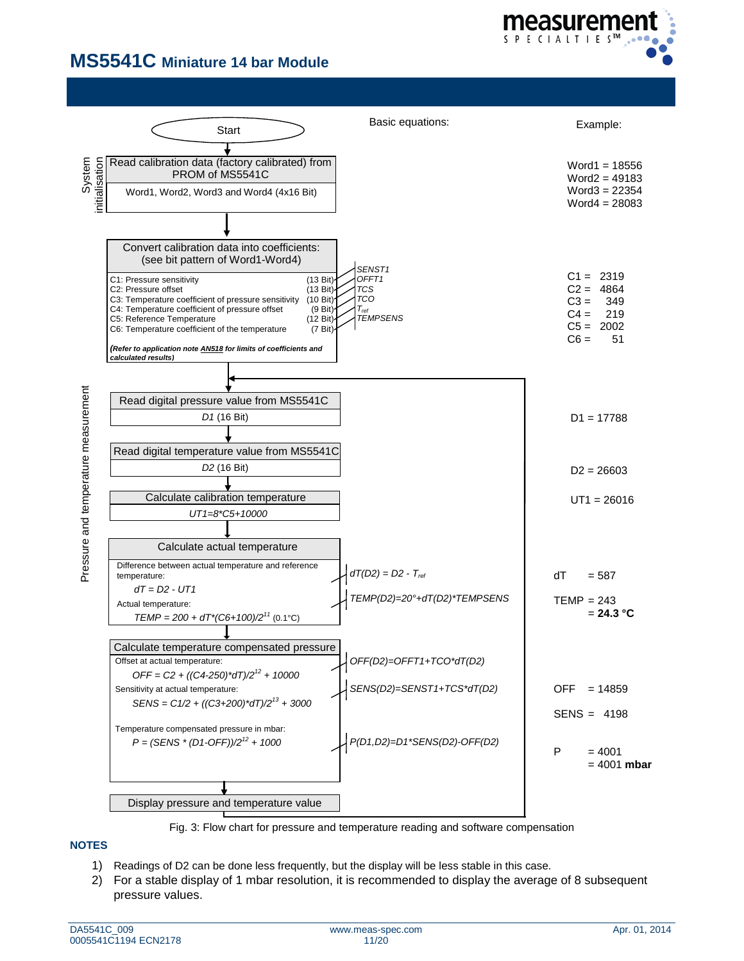



Fig. 3: Flow chart for pressure and temperature reading and software compensation

## **NOTES**

- 1) Readings of D2 can be done less frequently, but the display will be less stable in this case.
- 2) For a stable display of 1 mbar resolution, it is recommended to display the average of 8 subsequent pressure values.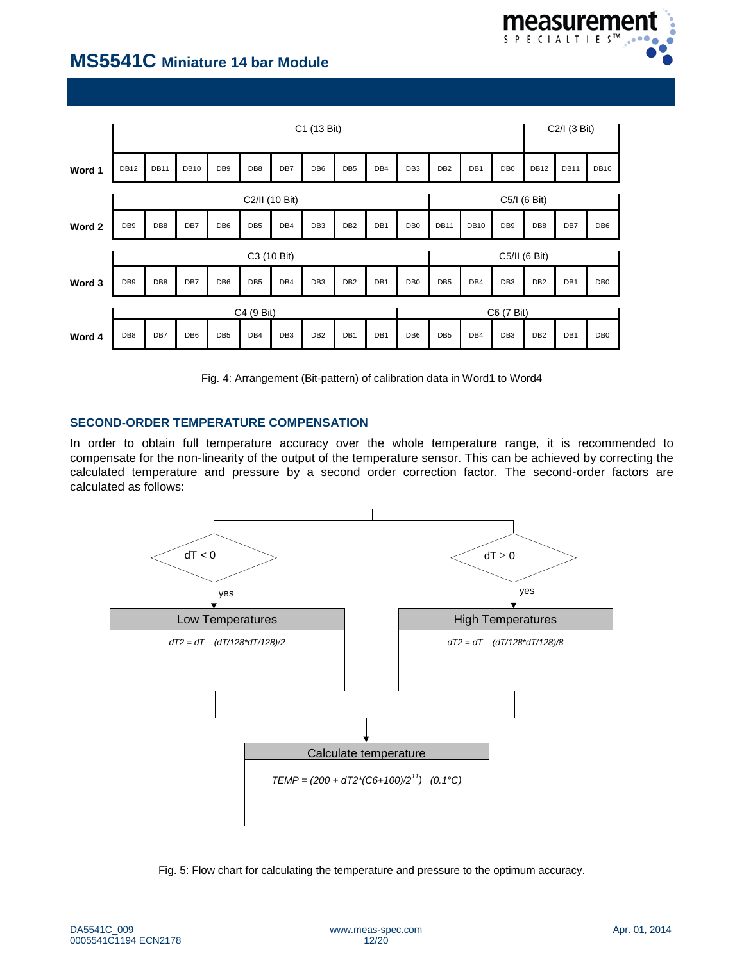

|        |                          | C1 (13 Bit)     |                 |                 |                 |                 |                 |                 |     |                 |                 | C2/I (3 Bit) |                 |                 |                 |                 |
|--------|--------------------------|-----------------|-----------------|-----------------|-----------------|-----------------|-----------------|-----------------|-----|-----------------|-----------------|--------------|-----------------|-----------------|-----------------|-----------------|
| Word 1 | <b>DB12</b>              | <b>DB11</b>     | <b>DB10</b>     | DB <sub>9</sub> | DB8             | DB7             | DB <sub>6</sub> | DB <sub>5</sub> | DB4 | DB <sub>3</sub> | DB <sub>2</sub> | DB1          | DB <sub>0</sub> | <b>DB12</b>     | <b>DB11</b>     | <b>DB10</b>     |
|        |                          | C2/II (10 Bit)  |                 |                 |                 |                 |                 |                 |     |                 | C5/I (6 Bit)    |              |                 |                 |                 |                 |
| Word 2 | DB <sub>9</sub>          | DB8             | DB7             | DB <sub>6</sub> | DB <sub>5</sub> | DB4             | DB <sub>3</sub> | DB <sub>2</sub> | DB1 | DB <sub>0</sub> | <b>DB11</b>     | <b>DB10</b>  | DB <sub>9</sub> | DB8             | DB7             | DB <sub>6</sub> |
|        |                          |                 |                 |                 | C3 (10 Bit)     |                 |                 |                 |     |                 |                 |              | C5/II (6 Bit)   |                 |                 |                 |
| Word 3 | DB <sub>9</sub>          | DB <sub>8</sub> | DB7             | DB <sub>6</sub> | DB <sub>5</sub> | DB4             | DB <sub>3</sub> | DB <sub>2</sub> | DB1 | DB <sub>0</sub> | DB <sub>5</sub> | DB4          | DB <sub>3</sub> | DB <sub>2</sub> | DB <sub>1</sub> | DB <sub>0</sub> |
|        | C4 (9 Bit)<br>C6 (7 Bit) |                 |                 |                 |                 |                 |                 |                 |     |                 |                 |              |                 |                 |                 |                 |
| Word 4 | DB8                      | DB7             | DB <sub>6</sub> | DB <sub>5</sub> | DB4             | DB <sub>3</sub> | DB <sub>2</sub> | DB1             | DB1 | DB <sub>6</sub> | DB <sub>5</sub> | DB4          | DB <sub>3</sub> | DB <sub>2</sub> | DB1             | DB <sub>0</sub> |

Fig. 4: Arrangement (Bit-pattern) of calibration data in Word1 to Word4

# **SECOND-ORDER TEMPERATURE COMPENSATION**

In order to obtain full temperature accuracy over the whole temperature range, it is recommended to compensate for the non-linearity of the output of the temperature sensor. This can be achieved by correcting the calculated temperature and pressure by a second order correction factor. The second-order factors are calculated as follows:



Fig. 5: Flow chart for calculating the temperature and pressure to the optimum accuracy.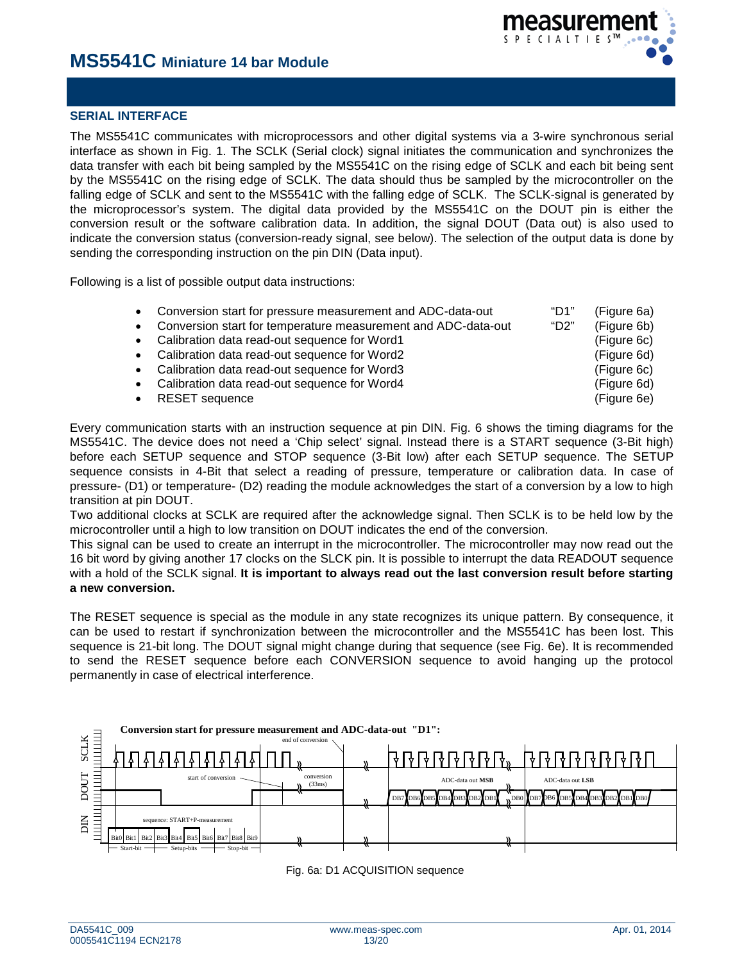

# **SERIAL INTERFACE**

The MS5541C communicates with microprocessors and other digital systems via a 3-wire synchronous serial interface as shown in Fig. 1. The SCLK (Serial clock) signal initiates the communication and synchronizes the data transfer with each bit being sampled by the MS5541C on the rising edge of SCLK and each bit being sent by the MS5541C on the rising edge of SCLK. The data should thus be sampled by the microcontroller on the falling edge of SCLK and sent to the MS5541C with the falling edge of SCLK. The SCLK-signal is generated by the microprocessor's system. The digital data provided by the MS5541C on the DOUT pin is either the conversion result or the software calibration data. In addition, the signal DOUT (Data out) is also used to indicate the conversion status (conversion-ready signal, see below). The selection of the output data is done by sending the corresponding instruction on the pin DIN (Data input).

Following is a list of possible output data instructions:

| • Conversion start for pressure measurement and ADC-data-out               | "D1" | (Figure 6a) |
|----------------------------------------------------------------------------|------|-------------|
| Conversion start for temperature measurement and ADC-data-out<br>$\bullet$ | "D2" | (Figure 6b) |
| • Calibration data read-out sequence for Word1                             |      | (Figure 6c) |
| • Calibration data read-out sequence for Word2                             |      | (Figure 6d) |
| • Calibration data read-out sequence for Word3                             |      | (Figure 6c) |
| Calibration data read-out sequence for Word4<br>$\bullet$                  |      | (Figure 6d) |
| • RESET sequence                                                           |      | (Figure 6e) |

Every communication starts with an instruction sequence at pin DIN. Fig. 6 shows the timing diagrams for the MS5541C. The device does not need a 'Chip select' signal. Instead there is a START sequence (3-Bit high) before each SETUP sequence and STOP sequence (3-Bit low) after each SETUP sequence. The SETUP sequence consists in 4-Bit that select a reading of pressure, temperature or calibration data. In case of pressure- (D1) or temperature- (D2) reading the module acknowledges the start of a conversion by a low to high transition at pin DOUT.

Two additional clocks at SCLK are required after the acknowledge signal. Then SCLK is to be held low by the microcontroller until a high to low transition on DOUT indicates the end of the conversion.

This signal can be used to create an interrupt in the microcontroller. The microcontroller may now read out the 16 bit word by giving another 17 clocks on the SLCK pin. It is possible to interrupt the data READOUT sequence with a hold of the SCLK signal. **It is important to always read out the last conversion result before starting a new conversion.**

The RESET sequence is special as the module in any state recognizes its unique pattern. By consequence, it can be used to restart if synchronization between the microcontroller and the MS5541C has been lost. This sequence is 21-bit long. The DOUT signal might change during that sequence (see Fig. 6e). It is recommended to send the RESET sequence before each CONVERSION sequence to avoid hanging up the protocol permanently in case of electrical interference.



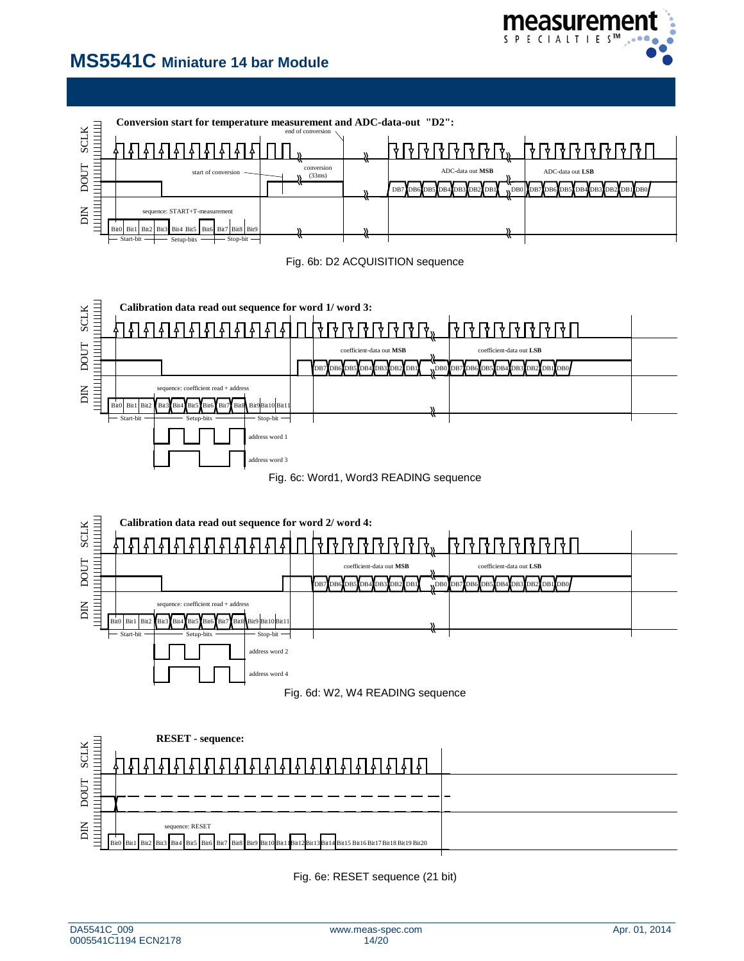



Fig. 6e: RESET sequence (21 bit)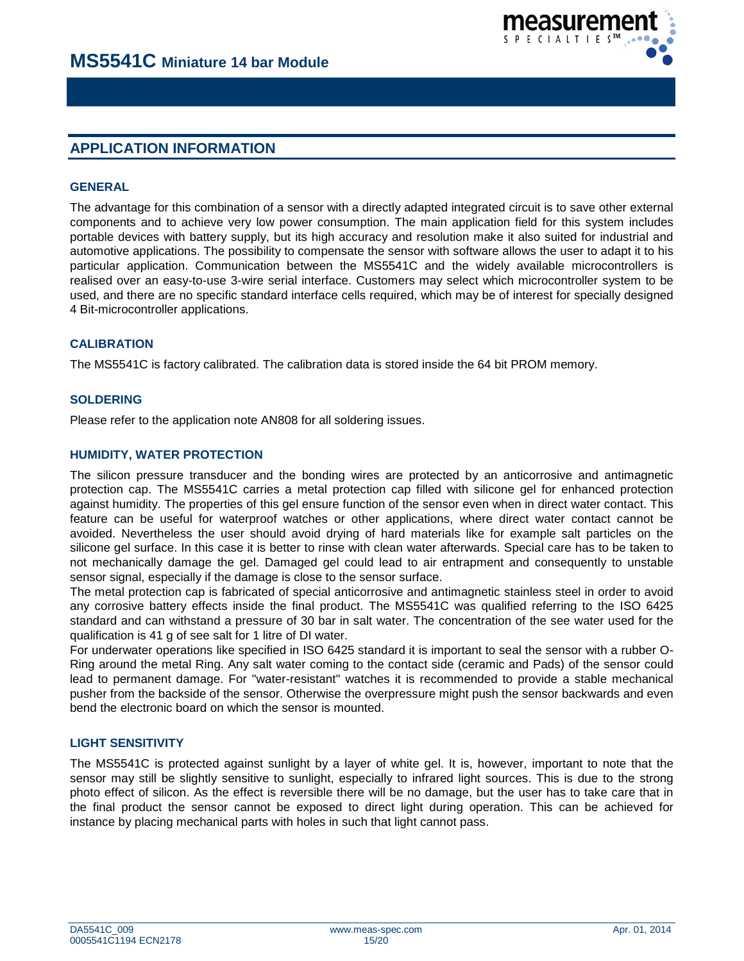

# **APPLICATION INFORMATION**

## **GENERAL**

The advantage for this combination of a sensor with a directly adapted integrated circuit is to save other external components and to achieve very low power consumption. The main application field for this system includes portable devices with battery supply, but its high accuracy and resolution make it also suited for industrial and automotive applications. The possibility to compensate the sensor with software allows the user to adapt it to his particular application. Communication between the MS5541C and the widely available microcontrollers is realised over an easy-to-use 3-wire serial interface. Customers may select which microcontroller system to be used, and there are no specific standard interface cells required, which may be of interest for specially designed 4 Bit-microcontroller applications.

# **CALIBRATION**

The MS5541C is factory calibrated. The calibration data is stored inside the 64 bit PROM memory.

## **SOLDERING**

Please refer to the application note AN808 for all soldering issues.

## **HUMIDITY, WATER PROTECTION**

The silicon pressure transducer and the bonding wires are protected by an anticorrosive and antimagnetic protection cap. The MS5541C carries a metal protection cap filled with silicone gel for enhanced protection against humidity. The properties of this gel ensure function of the sensor even when in direct water contact. This feature can be useful for waterproof watches or other applications, where direct water contact cannot be avoided. Nevertheless the user should avoid drying of hard materials like for example salt particles on the silicone gel surface. In this case it is better to rinse with clean water afterwards. Special care has to be taken to not mechanically damage the gel. Damaged gel could lead to air entrapment and consequently to unstable sensor signal, especially if the damage is close to the sensor surface.

The metal protection cap is fabricated of special anticorrosive and antimagnetic stainless steel in order to avoid any corrosive battery effects inside the final product. The MS5541C was qualified referring to the ISO 6425 standard and can withstand a pressure of 30 bar in salt water. The concentration of the see water used for the qualification is 41 g of see salt for 1 litre of DI water.

For underwater operations like specified in ISO 6425 standard it is important to seal the sensor with a rubber O-Ring around the metal Ring. Any salt water coming to the contact side (ceramic and Pads) of the sensor could lead to permanent damage. For "water-resistant" watches it is recommended to provide a stable mechanical pusher from the backside of the sensor. Otherwise the overpressure might push the sensor backwards and even bend the electronic board on which the sensor is mounted.

## **LIGHT SENSITIVITY**

The MS5541C is protected against sunlight by a layer of white gel. It is, however, important to note that the sensor may still be slightly sensitive to sunlight, especially to infrared light sources. This is due to the strong photo effect of silicon. As the effect is reversible there will be no damage, but the user has to take care that in the final product the sensor cannot be exposed to direct light during operation. This can be achieved for instance by placing mechanical parts with holes in such that light cannot pass.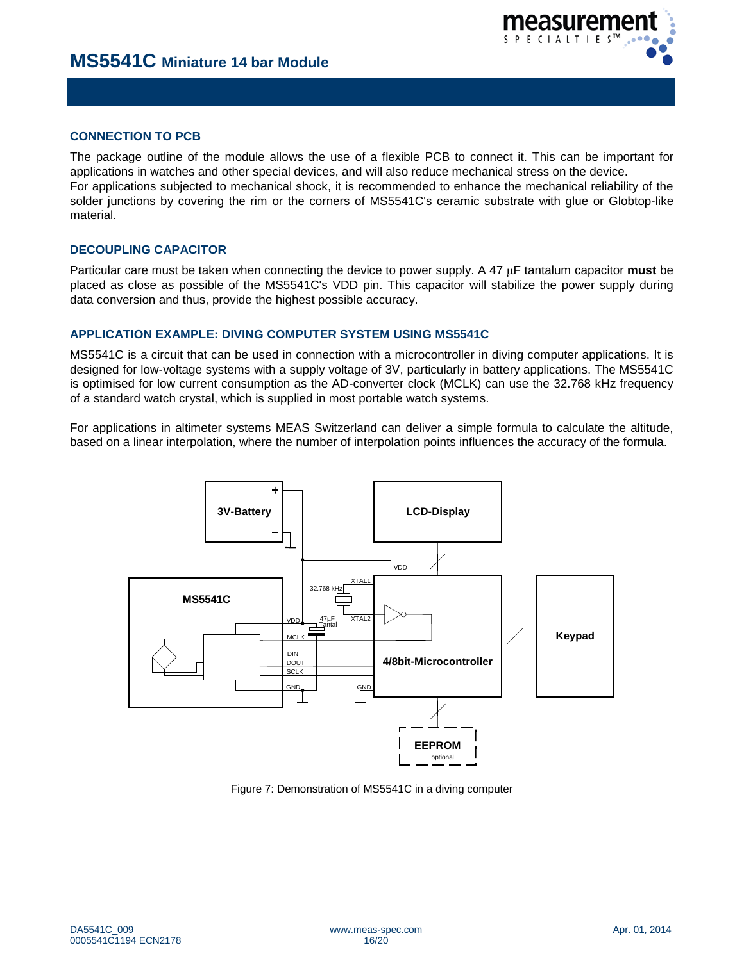# **CONNECTION TO PCB**

The package outline of the module allows the use of a flexible PCB to connect it. This can be important for applications in watches and other special devices, and will also reduce mechanical stress on the device. For applications subjected to mechanical shock, it is recommended to enhance the mechanical reliability of the solder junctions by covering the rim or the corners of MS5541C's ceramic substrate with glue or Globtop-like material.

# **DECOUPLING CAPACITOR**

Particular care must be taken when connecting the device to power supply. A 47 µF tantalum capacitor **must** be placed as close as possible of the MS5541C's VDD pin. This capacitor will stabilize the power supply during data conversion and thus, provide the highest possible accuracy.

# **APPLICATION EXAMPLE: DIVING COMPUTER SYSTEM USING MS5541C**

MS5541C is a circuit that can be used in connection with a microcontroller in diving computer applications. It is designed for low-voltage systems with a supply voltage of 3V, particularly in battery applications. The MS5541C is optimised for low current consumption as the AD-converter clock (MCLK) can use the 32.768 kHz frequency of a standard watch crystal, which is supplied in most portable watch systems.

For applications in altimeter systems MEAS Switzerland can deliver a simple formula to calculate the altitude, based on a linear interpolation, where the number of interpolation points influences the accuracy of the formula.



Figure 7: Demonstration of MS5541C in a diving computer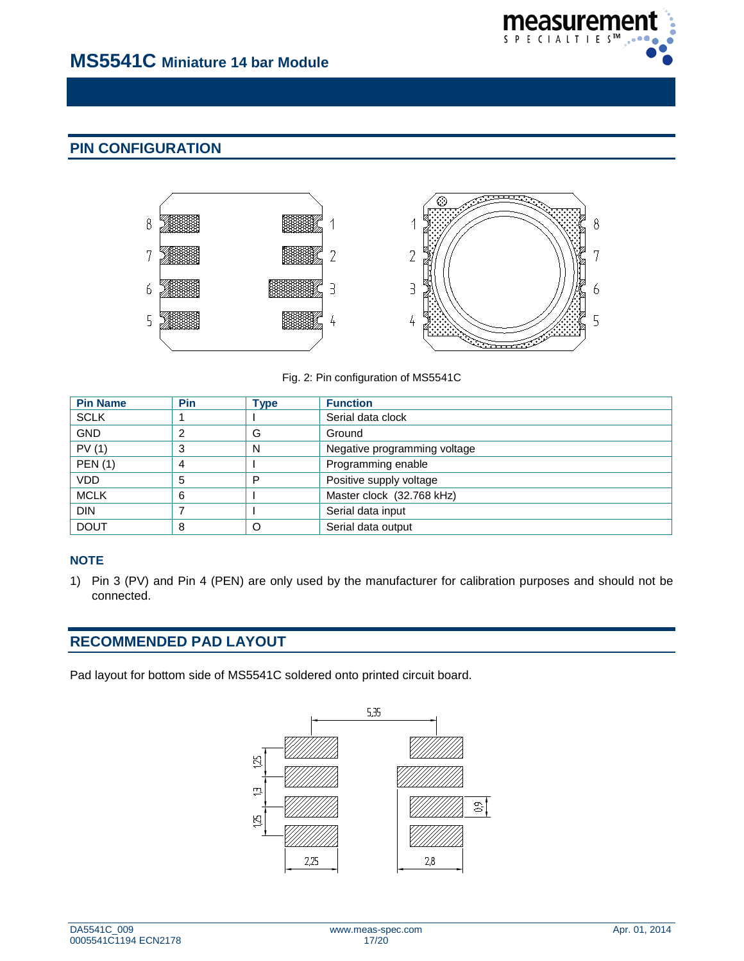

# **PIN CONFIGURATION**



Fig. 2: Pin configuration of MS5541C

| <b>Pin Name</b> | <b>Pin</b> | <b>Type</b> | <b>Function</b>              |
|-----------------|------------|-------------|------------------------------|
| <b>SCLK</b>     |            |             | Serial data clock            |
| <b>GND</b>      |            | G           | Ground                       |
| PV(1)           | 3          | N           | Negative programming voltage |
| <b>PEN (1)</b>  | 4          |             | Programming enable           |
| <b>VDD</b>      | 5          | P           | Positive supply voltage      |
| <b>MCLK</b>     | 6          |             | Master clock (32.768 kHz)    |
| <b>DIN</b>      |            |             | Serial data input            |
| <b>DOUT</b>     | 8          | O           | Serial data output           |

# **NOTE**

1) Pin 3 (PV) and Pin 4 (PEN) are only used by the manufacturer for calibration purposes and should not be connected.

# **RECOMMENDED PAD LAYOUT**

Pad layout for bottom side of MS5541C soldered onto printed circuit board.

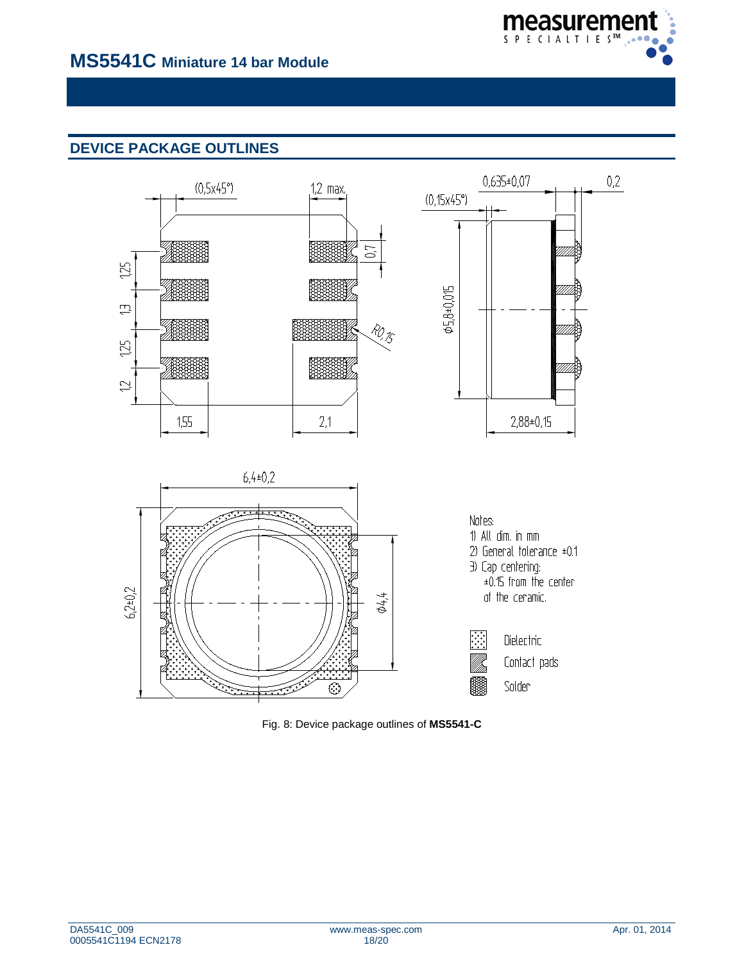

# **DEVICE PACKAGE OUTLINES**



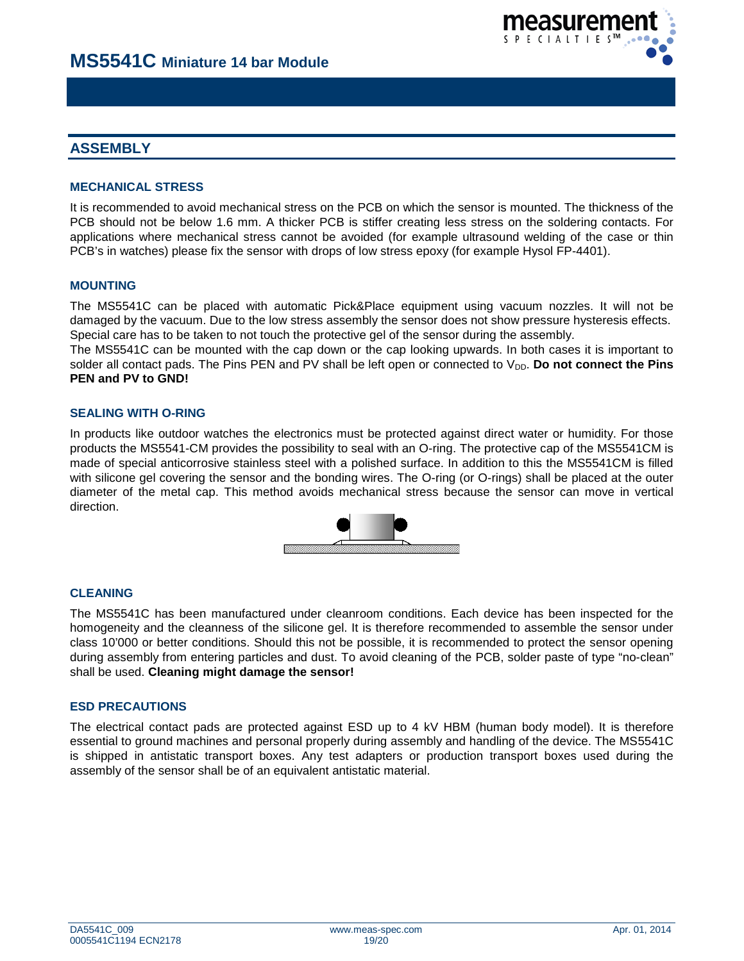

# **ASSEMBLY**

# **MECHANICAL STRESS**

It is recommended to avoid mechanical stress on the PCB on which the sensor is mounted. The thickness of the PCB should not be below 1.6 mm. A thicker PCB is stiffer creating less stress on the soldering contacts. For applications where mechanical stress cannot be avoided (for example ultrasound welding of the case or thin PCB's in watches) please fix the sensor with drops of low stress epoxy (for example Hysol FP-4401).

## **MOUNTING**

The MS5541C can be placed with automatic Pick&Place equipment using vacuum nozzles. It will not be damaged by the vacuum. Due to the low stress assembly the sensor does not show pressure hysteresis effects. Special care has to be taken to not touch the protective gel of the sensor during the assembly.

The MS5541C can be mounted with the cap down or the cap looking upwards. In both cases it is important to solder all contact pads. The Pins PEN and PV shall be left open or connected to V<sub>DD</sub>. Do not connect the Pins **PEN and PV to GND!**

## **SEALING WITH O-RING**

In products like outdoor watches the electronics must be protected against direct water or humidity. For those products the MS5541-CM provides the possibility to seal with an O-ring. The protective cap of the MS5541CM is made of special anticorrosive stainless steel with a polished surface. In addition to this the MS5541CM is filled with silicone gel covering the sensor and the bonding wires. The O-ring (or O-rings) shall be placed at the outer diameter of the metal cap. This method avoids mechanical stress because the sensor can move in vertical direction.



## **CLEANING**

The MS5541C has been manufactured under cleanroom conditions. Each device has been inspected for the homogeneity and the cleanness of the silicone gel. It is therefore recommended to assemble the sensor under class 10'000 or better conditions. Should this not be possible, it is recommended to protect the sensor opening during assembly from entering particles and dust. To avoid cleaning of the PCB, solder paste of type "no-clean" shall be used. **Cleaning might damage the sensor!**

## **ESD PRECAUTIONS**

The electrical contact pads are protected against ESD up to 4 kV HBM (human body model). It is therefore essential to ground machines and personal properly during assembly and handling of the device. The MS5541C is shipped in antistatic transport boxes. Any test adapters or production transport boxes used during the assembly of the sensor shall be of an equivalent antistatic material.